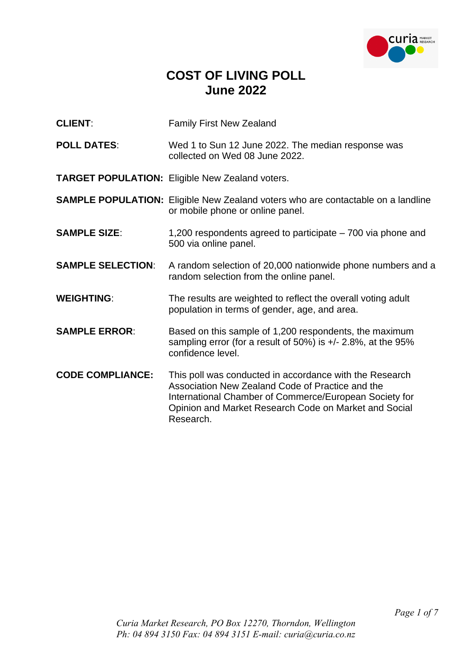

## **COST OF LIVING POLL June 2022**

- **CLIENT:** Family First New Zealand
- **POLL DATES**: Wed 1 to Sun 12 June 2022. The median response was collected on Wed 08 June 2022.
- **TARGET POPULATION:** Eligible New Zealand voters.
- **SAMPLE POPULATION:** Eligible New Zealand voters who are contactable on a landline or mobile phone or online panel.
- **SAMPLE SIZE:** 1,200 respondents agreed to participate 700 via phone and 500 via online panel.
- **SAMPLE SELECTION:** A random selection of 20,000 nationwide phone numbers and a random selection from the online panel.
- **WEIGHTING:** The results are weighted to reflect the overall voting adult population in terms of gender, age, and area.
- **SAMPLE ERROR:** Based on this sample of 1,200 respondents, the maximum sampling error (for a result of 50%) is +/- 2.8%, at the 95% confidence level.
- **CODE COMPLIANCE:** This poll was conducted in accordance with the Research Association New Zealand Code of Practice and the International Chamber of Commerce/European Society for Opinion and Market Research Code on Market and Social Research.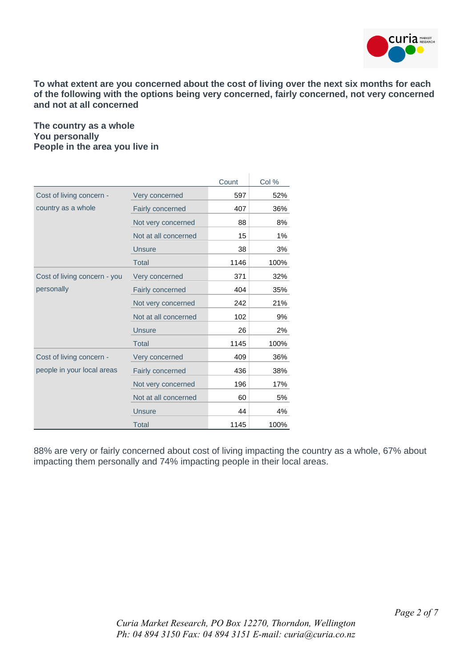

**To what extent are you concerned about the cost of living over the next six months for each of the following with the options being very concerned, fairly concerned, not very concerned and not at all concerned**

## **The country as a whole You personally People in the area you live in**

|                              |                      | Count | Col % |
|------------------------------|----------------------|-------|-------|
| Cost of living concern -     | Very concerned       | 597   | 52%   |
| country as a whole           | Fairly concerned     | 407   | 36%   |
|                              | Not very concerned   | 88    | 8%    |
|                              | Not at all concerned | 15    | $1\%$ |
|                              | <b>Unsure</b>        | 38    | 3%    |
|                              | <b>Total</b>         | 1146  | 100%  |
| Cost of living concern - you | Very concerned       | 371   | 32%   |
| personally                   | Fairly concerned     | 404   | 35%   |
|                              | Not very concerned   | 242   | 21%   |
|                              | Not at all concerned | 102   | 9%    |
|                              | <b>Unsure</b>        | 26    | 2%    |
|                              | <b>Total</b>         | 1145  | 100%  |
| Cost of living concern -     | Very concerned       | 409   | 36%   |
| people in your local areas   | Fairly concerned     | 436   | 38%   |
|                              | Not very concerned   | 196   | 17%   |
|                              | Not at all concerned | 60    | 5%    |
|                              | <b>Unsure</b>        | 44    | 4%    |
|                              | Total                | 1145  | 100%  |

88% are very or fairly concerned about cost of living impacting the country as a whole, 67% about impacting them personally and 74% impacting people in their local areas.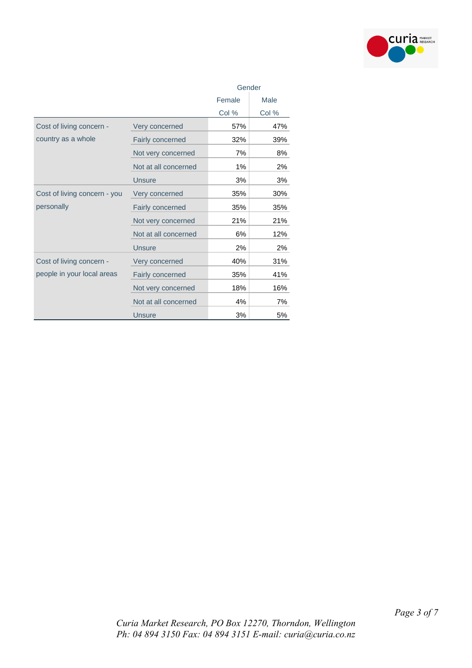

|                              |                         | Gender |       |  |
|------------------------------|-------------------------|--------|-------|--|
|                              |                         | Female | Male  |  |
|                              |                         | Col %  | Col % |  |
| Cost of living concern -     | Very concerned          | 57%    | 47%   |  |
| country as a whole           | Fairly concerned        | 32%    | 39%   |  |
|                              | Not very concerned      | 7%     | 8%    |  |
|                              | Not at all concerned    | 1%     | 2%    |  |
|                              | <b>Unsure</b>           | 3%     | 3%    |  |
| Cost of living concern - you | Very concerned          | 35%    | 30%   |  |
| personally                   | Fairly concerned        | 35%    | 35%   |  |
|                              | Not very concerned      | 21%    | 21%   |  |
|                              | Not at all concerned    | 6%     | 12%   |  |
|                              | <b>Unsure</b>           | 2%     | 2%    |  |
| Cost of living concern -     | Very concerned          | 40%    | 31%   |  |
| people in your local areas   | <b>Fairly concerned</b> | 35%    | 41%   |  |
|                              | Not very concerned      | 18%    | 16%   |  |
|                              | Not at all concerned    | 4%     | 7%    |  |
|                              | <b>Unsure</b>           | 3%     | 5%    |  |

*Curia Market Research, PO Box 12270, Thorndon, Wellington Ph: 04 894 3150 Fax: 04 894 3151 E-mail: curia@curia.co.nz*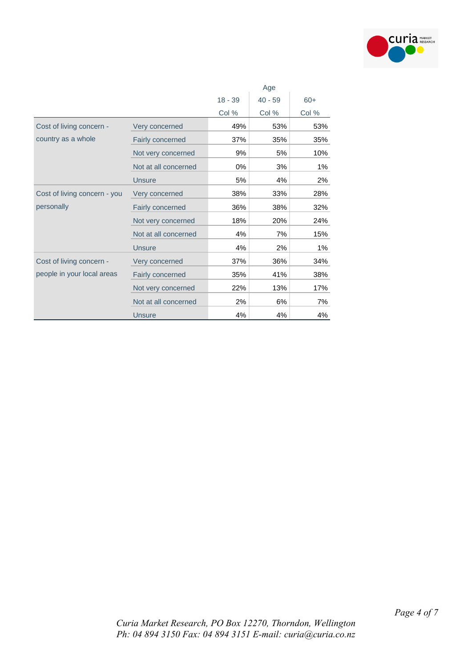

|                              |                      | Age       |           |       |  |
|------------------------------|----------------------|-----------|-----------|-------|--|
|                              |                      | $18 - 39$ | $40 - 59$ | $60+$ |  |
|                              |                      | Col %     | Col %     | Col % |  |
| Cost of living concern -     | Very concerned       | 49%       | 53%       | 53%   |  |
| country as a whole           | Fairly concerned     | 37%       | 35%       | 35%   |  |
|                              | Not very concerned   | 9%        | 5%        | 10%   |  |
|                              | Not at all concerned | 0%        | 3%        | 1%    |  |
|                              | <b>Unsure</b>        | 5%        | 4%        | 2%    |  |
| Cost of living concern - you | Very concerned       | 38%       | 33%       | 28%   |  |
| personally                   | Fairly concerned     | 36%       | 38%       | 32%   |  |
|                              | Not very concerned   | 18%       | 20%       | 24%   |  |
|                              | Not at all concerned | 4%        | 7%        | 15%   |  |
|                              | <b>Unsure</b>        | 4%        | 2%        | $1\%$ |  |
| Cost of living concern -     | Very concerned       | 37%       | 36%       | 34%   |  |
| people in your local areas   | Fairly concerned     | 35%       | 41%       | 38%   |  |
|                              | Not very concerned   | 22%       | 13%       | 17%   |  |
|                              | Not at all concerned | 2%        | 6%        | 7%    |  |
|                              | <b>Unsure</b>        | 4%        | 4%        | 4%    |  |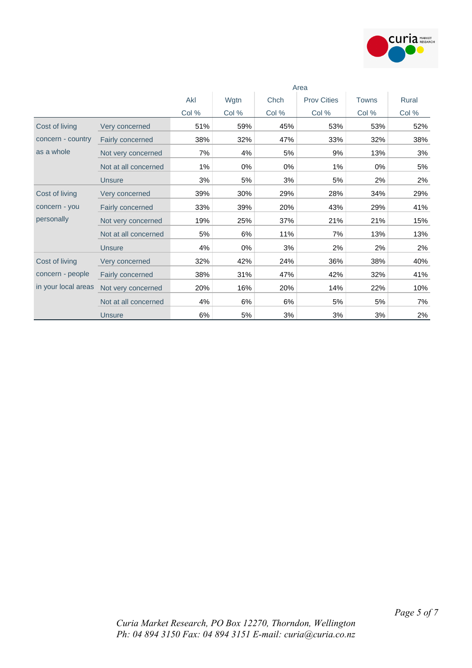

|                                         |                      | Area  |       |       |                    |              |       |
|-----------------------------------------|----------------------|-------|-------|-------|--------------------|--------------|-------|
|                                         |                      | Akl   | Wgtn  | Chch  | <b>Prov Cities</b> | <b>Towns</b> | Rural |
|                                         |                      | Col % | Col % | Col % | Col %              | Col %        | Col % |
| Cost of living                          | Very concerned       | 51%   | 59%   | 45%   | 53%                | 53%          | 52%   |
| concern - country                       | Fairly concerned     | 38%   | 32%   | 47%   | 33%                | 32%          | 38%   |
| as a whole                              | Not very concerned   | 7%    | 4%    | 5%    | 9%                 | 13%          | 3%    |
|                                         | Not at all concerned | $1\%$ | 0%    | 0%    | 1%                 | 0%           | 5%    |
|                                         | <b>Unsure</b>        | 3%    | 5%    | 3%    | 5%                 | 2%           | 2%    |
| Cost of living                          | Very concerned       | 39%   | 30%   | 29%   | 28%                | 34%          | 29%   |
| concern - you                           | Fairly concerned     | 33%   | 39%   | 20%   | 43%                | 29%          | 41%   |
| personally                              | Not very concerned   | 19%   | 25%   | 37%   | 21%                | 21%          | 15%   |
|                                         | Not at all concerned | 5%    | 6%    | 11%   | 7%                 | 13%          | 13%   |
|                                         | <b>Unsure</b>        | 4%    | $0\%$ | 3%    | 2%                 | 2%           | 2%    |
| Cost of living                          | Very concerned       | 32%   | 42%   | 24%   | 36%                | 38%          | 40%   |
| concern - people<br>in your local areas | Fairly concerned     | 38%   | 31%   | 47%   | 42%                | 32%          | 41%   |
|                                         | Not very concerned   | 20%   | 16%   | 20%   | 14%                | 22%          | 10%   |
|                                         | Not at all concerned | 4%    | 6%    | 6%    | 5%                 | 5%           | 7%    |
|                                         | <b>Unsure</b>        | 6%    | 5%    | 3%    | 3%                 | 3%           | 2%    |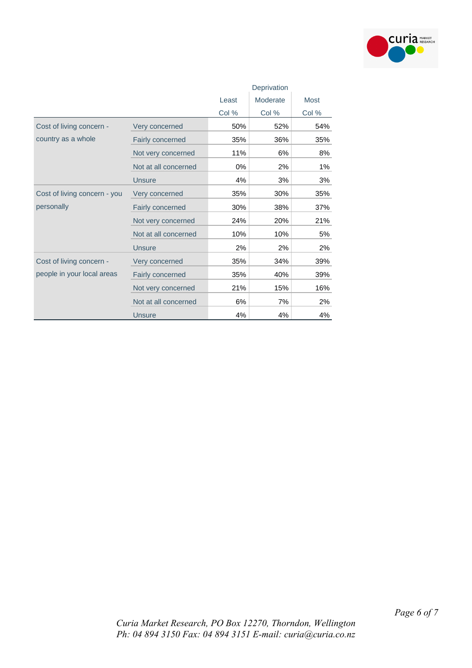

|                              |                      | Deprivation       |       |       |  |
|------------------------------|----------------------|-------------------|-------|-------|--|
|                              |                      | Moderate<br>Least |       | Most  |  |
|                              |                      | Col %             | Col % | Col % |  |
| Cost of living concern -     | Very concerned       | 50%               | 52%   | 54%   |  |
| country as a whole           | Fairly concerned     | 35%               | 36%   | 35%   |  |
|                              | Not very concerned   | 11%               | 6%    | 8%    |  |
|                              | Not at all concerned | 0%                | 2%    | $1\%$ |  |
|                              | <b>Unsure</b>        | 4%                | 3%    | 3%    |  |
| Cost of living concern - you | Very concerned       | 35%               | 30%   | 35%   |  |
| personally                   | Fairly concerned     | 30%               | 38%   | 37%   |  |
|                              | Not very concerned   | 24%               | 20%   | 21%   |  |
|                              | Not at all concerned | 10%               | 10%   | 5%    |  |
|                              | <b>Unsure</b>        | 2%                | 2%    | 2%    |  |
| Cost of living concern -     | Very concerned       | 35%               | 34%   | 39%   |  |
| people in your local areas   | Fairly concerned     | 35%               | 40%   | 39%   |  |
|                              | Not very concerned   | 21%               | 15%   | 16%   |  |
|                              | Not at all concerned | 6%                | 7%    | 2%    |  |
|                              | <b>Unsure</b>        | 4%                | 4%    | 4%    |  |